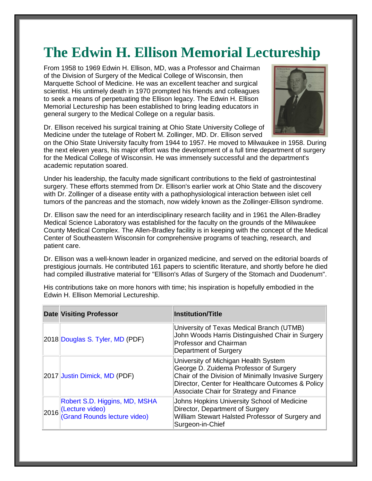## **The Edwin H. Ellison Memorial Lectureship**

From 1958 to 1969 Edwin H. Ellison, MD, was a Professor and Chairman of the Division of Surgery of the Medical College of Wisconsin, then Marquette School of Medicine. He was an excellent teacher and surgical scientist. His untimely death in 1970 prompted his friends and colleagues to seek a means of perpetuating the Ellison legacy. The Edwin H. Ellison Memorial Lectureship has been established to bring leading educators in general surgery to the Medical College on a regular basis.



Dr. Ellison received his surgical training at Ohio State University College of Medicine under the tutelage of Robert M. Zollinger, MD. Dr. Ellison served

on the Ohio State University faculty from 1944 to 1957. He moved to Milwaukee in 1958. During the next eleven years, his major effort was the development of a full time department of surgery for the Medical College of Wisconsin. He was immensely successful and the department's academic reputation soared.

Under his leadership, the faculty made significant contributions to the field of gastrointestinal surgery. These efforts stemmed from Dr. Ellison's earlier work at Ohio State and the discovery with Dr. Zollinger of a disease entity with a pathophysiological interaction between islet cell tumors of the pancreas and the stomach, now widely known as the Zollinger-Ellison syndrome.

Dr. Ellison saw the need for an interdisciplinary research facility and in 1961 the Allen-Bradley Medical Science Laboratory was established for the faculty on the grounds of the Milwaukee County Medical Complex. The Allen-Bradley facility is in keeping with the concept of the Medical Center of Southeastern Wisconsin for comprehensive programs of teaching, research, and patient care.

Dr. Ellison was a well-known leader in organized medicine, and served on the editorial boards of prestigious journals. He contributed 161 papers to scientific literature, and shortly before he died had compiled illustrative material for "Ellison's Atlas of Surgery of the Stomach and Duodenum".

|      | <b>Date Visiting Professor</b>                                                   | <b>Institution/Title</b>                                                                                                                                                                                                               |
|------|----------------------------------------------------------------------------------|----------------------------------------------------------------------------------------------------------------------------------------------------------------------------------------------------------------------------------------|
|      | 2018 Douglas S. Tyler, MD (PDF)                                                  | University of Texas Medical Branch (UTMB)<br>John Woods Harris Distinguished Chair in Surgery<br><b>Professor and Chairman</b><br>Department of Surgery                                                                                |
|      | 2017 Justin Dimick, MD (PDF)                                                     | University of Michigan Health System<br>George D. Zuidema Professor of Surgery<br>Chair of the Division of Minimally Invasive Surgery<br>Director, Center for Healthcare Outcomes & Policy<br>Associate Chair for Strategy and Finance |
| 2016 | Robert S.D. Higgins, MD, MSHA<br>(Lecture video)<br>(Grand Rounds lecture video) | Johns Hopkins University School of Medicine<br>Director, Department of Surgery<br>William Stewart Halsted Professor of Surgery and<br>Surgeon-in-Chief                                                                                 |

His contributions take on more honors with time; his inspiration is hopefully embodied in the Edwin H. Ellison Memorial Lectureship.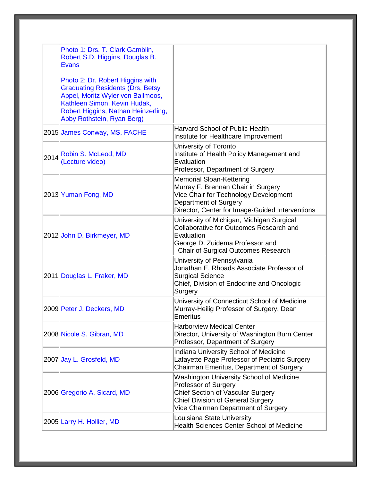|      | Photo 1: Drs. T. Clark Gamblin,<br>Robert S.D. Higgins, Douglas B.<br>Evans                                                                                                                                           |                                                                                                                                                                                                 |
|------|-----------------------------------------------------------------------------------------------------------------------------------------------------------------------------------------------------------------------|-------------------------------------------------------------------------------------------------------------------------------------------------------------------------------------------------|
|      | Photo 2: Dr. Robert Higgins with<br><b>Graduating Residents (Drs. Betsy</b><br>Appel, Moritz Wyler von Ballmoos,<br>Kathleen Simon, Kevin Hudak,<br>Robert Higgins, Nathan Heinzerling,<br>Abby Rothstein, Ryan Berg) |                                                                                                                                                                                                 |
|      | 2015 James Conway, MS, FACHE                                                                                                                                                                                          | Harvard School of Public Health<br>Institute for Healthcare Improvement                                                                                                                         |
| 2014 | Robin S. McLeod, MD<br>(Lecture video)                                                                                                                                                                                | University of Toronto<br>Institute of Health Policy Management and<br>Evaluation<br>Professor, Department of Surgery                                                                            |
|      | 2013 Yuman Fong, MD                                                                                                                                                                                                   | <b>Memorial Sloan-Kettering</b><br>Murray F. Brennan Chair in Surgery<br>Vice Chair for Technology Development<br>Department of Surgery<br>Director, Center for Image-Guided Interventions      |
|      | 2012 John D. Birkmeyer, MD                                                                                                                                                                                            | University of Michigan, Michigan Surgical<br>Collaborative for Outcomes Research and<br>Evaluation<br>George D. Zuidema Professor and<br>Chair of Surgical Outcomes Research                    |
|      | 2011 Douglas L. Fraker, MD                                                                                                                                                                                            | University of Pennsylvania<br>Jonathan E. Rhoads Associate Professor of<br><b>Surgical Science</b><br>Chief, Division of Endocrine and Oncologic<br>Surgery                                     |
|      | 2009 Peter J. Deckers, MD                                                                                                                                                                                             | University of Connecticut School of Medicine<br>Murray-Heilig Professor of Surgery, Dean<br>Emeritus                                                                                            |
|      | 2008 Nicole S. Gibran, MD                                                                                                                                                                                             | <b>Harborview Medical Center</b><br>Director, University of Washington Burn Center<br>Professor, Department of Surgery                                                                          |
|      | 2007 Jay L. Grosfeld, MD                                                                                                                                                                                              | Indiana University School of Medicine<br>Lafayette Page Professor of Pediatric Surgery<br>Chairman Emeritus, Department of Surgery                                                              |
|      | 2006 Gregorio A. Sicard, MD                                                                                                                                                                                           | Washington University School of Medicine<br>Professor of Surgery<br><b>Chief Section of Vascular Surgery</b><br><b>Chief Division of General Surgery</b><br>Vice Chairman Department of Surgery |
|      | 2005 Larry H. Hollier, MD                                                                                                                                                                                             | Louisiana State University<br><b>Health Sciences Center School of Medicine</b>                                                                                                                  |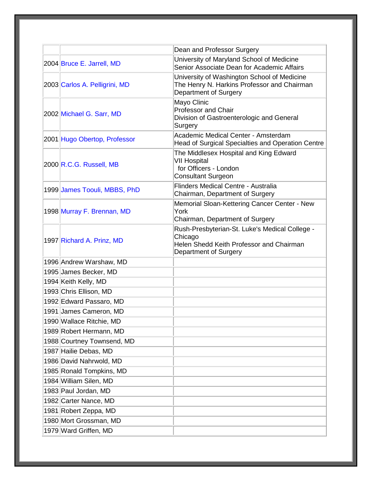|                               | Dean and Professor Surgery                                                                                                     |
|-------------------------------|--------------------------------------------------------------------------------------------------------------------------------|
| 2004 Bruce E. Jarrell, MD     | University of Maryland School of Medicine<br>Senior Associate Dean for Academic Affairs                                        |
| 2003 Carlos A. Pelligrini, MD | University of Washington School of Medicine<br>The Henry N. Harkins Professor and Chairman<br>Department of Surgery            |
| 2002 Michael G. Sarr, MD      | Mayo Clinic<br>Professor and Chair<br>Division of Gastroenterologic and General<br>Surgery                                     |
| 2001 Hugo Obertop, Professor  | Academic Medical Center - Amsterdam<br>Head of Surgical Specialties and Operation Centre                                       |
| 2000 R.C.G. Russell, MB       | The Middlesex Hospital and King Edward<br><b>VII Hospital</b><br>for Officers - London<br><b>Consultant Surgeon</b>            |
| 1999 James Toouli, MBBS, PhD  | Flinders Medical Centre - Australia<br>Chairman, Department of Surgery                                                         |
| 1998 Murray F. Brennan, MD    | Memorial Sloan-Kettering Cancer Center - New<br>York<br>Chairman, Department of Surgery                                        |
| 1997 Richard A. Prinz, MD     | Rush-Presbyterian-St. Luke's Medical College -<br>Chicago<br>Helen Shedd Keith Professor and Chairman<br>Department of Surgery |
| 1996 Andrew Warshaw, MD       |                                                                                                                                |
| 1995 James Becker, MD         |                                                                                                                                |
| 1994 Keith Kelly, MD          |                                                                                                                                |
| 1993 Chris Ellison, MD        |                                                                                                                                |
| 1992 Edward Passaro, MD       |                                                                                                                                |
| 1991 James Cameron, MD        |                                                                                                                                |
| 1990 Wallace Ritchie, MD      |                                                                                                                                |
| 1989 Robert Hermann, MD       |                                                                                                                                |
| 1988 Courtney Townsend, MD    |                                                                                                                                |
| 1987 Hailie Debas, MD         |                                                                                                                                |
| 1986 David Nahrwold, MD       |                                                                                                                                |
| 1985 Ronald Tompkins, MD      |                                                                                                                                |
| 1984 William Silen, MD        |                                                                                                                                |
| 1983 Paul Jordan, MD          |                                                                                                                                |
| 1982 Carter Nance, MD         |                                                                                                                                |
| 1981 Robert Zeppa, MD         |                                                                                                                                |
| 1980 Mort Grossman, MD        |                                                                                                                                |
| 1979 Ward Griffen, MD         |                                                                                                                                |